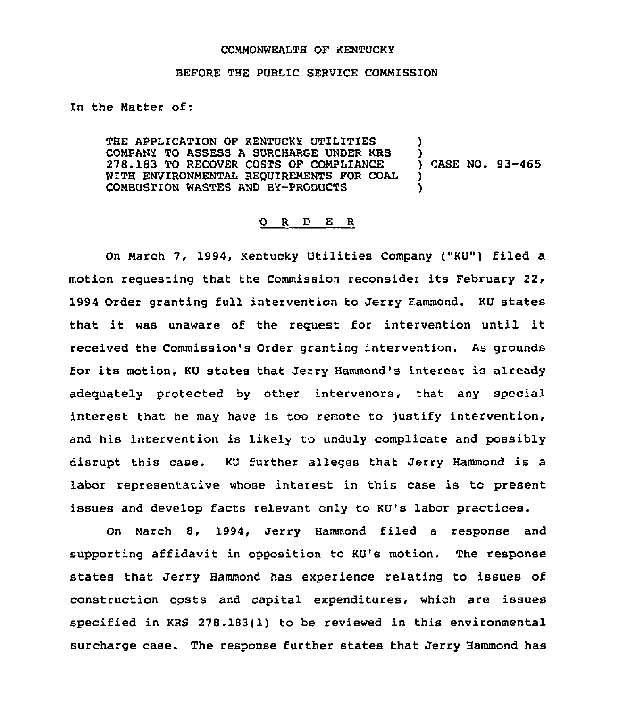## COMMONWEALTH OF KENTUCKY

## BEFORE THE PUBLIC SERVICE CONNISSION

In the Natter of:

THE APPLICATION OF KENTUCKY UTILITIES CONPANY TO ASSESS A SURCHARGE UNDER KRS 278.183 TO RECOVER COSTS OF COMPLIANCE WITH ENVIRONMENTAL REQUIREMENTS FOR COAL COMBUSTION WASTES AND BY-PRODUCTS ! )<br>) CASE NO. 93-465 ) )

## 0 <sup>R</sup> <sup>D</sup> E <sup>R</sup>

On March 7, 1994, Kentucky Utilities Company ("KU") filed a motion requesting that the Commission reconsider its February 22, 1994 Order granting full intervention to Jerry Fammond. KU states that it was unaware of the request for intervention until it received the Commission's Order granting intervention. As grounds for its motion, KU states that Jerry Hammond's interest is already adequately protected by other intervenors, that any special interest that he may have is too remote to justify intervention, and his intervention is likely to unduly complicate and possibly disrupt this case. KU further alleges that Jerry Hammond is a labor representative whose interest in this case is to present issues and develop facts relevant only to KU's labor practices.

On Narch 8, 1994, Jerry Hammond filed a response and supporting affidavit in opposition to KU's motion. The response states that Jerry Hammond has experience relating to issues of construction costs and capital expenditures, which are issues specified in KRS 278.183(1) to be reviewed in this environmental surcharge case. The response further states that Jerry Hammond has